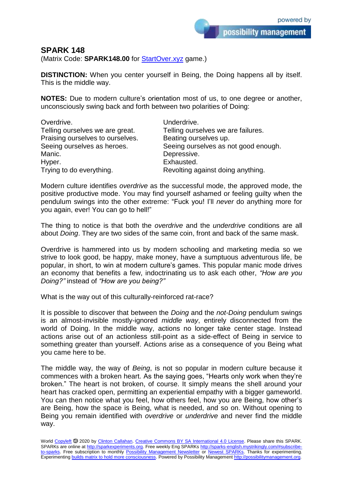possibility management

## **SPARK 148**

(Matrix Code: **SPARK148.00** for **StartOver.xyz** game.)

**DISTINCTION:** When you center yourself in Being, the Doing happens all by itself. This is the middle way.

**NOTES:** Due to modern culture's orientation most of us, to one degree or another, unconsciously swing back and forth between two polarities of Doing:

| Overdrive.                       | Underdrive.                          |
|----------------------------------|--------------------------------------|
| Telling ourselves we are great.  | Telling ourselves we are failures.   |
| Praising ourselves to ourselves. | Beating ourselves up.                |
| Seeing ourselves as heroes.      | Seeing ourselves as not good enough. |
| Manic.                           | Depressive.                          |
| Hyper.                           | Exhausted.                           |
| Trying to do everything.         | Revolting against doing anything.    |

Modern culture identifies *overdrive* as the successful mode, the approved mode, the positive productive mode. You may find yourself ashamed or feeling guilty when the pendulum swings into the other extreme: "Fuck you! I'll *never* do anything more for you again, ever! You can go to hell!"

The thing to notice is that both the *overdrive* and the *underdrive* conditions are all about *Doing*. They are two sides of the same coin, front and back of the same mask.

Overdrive is hammered into us by modern schooling and marketing media so we strive to look good, be happy, make money, have a sumptuous adventurous life, be popular, in short, to win at modern culture's games. This popular manic mode drives an economy that benefits a few, indoctrinating us to ask each other, *"How are you Doing?"* instead of *"How are you being?"*

What is the way out of this culturally-reinforced rat-race?

It is possible to discover that between the *Doing* and the *not-Doing* pendulum swings is an almost-invisible mostly-ignored *middle way*, entirely disconnected from the world of Doing. In the middle way, actions no longer take center stage. Instead actions arise out of an actionless still-point as a side-effect of Being in service to something greater than yourself. Actions arise as a consequence of you Being what you came here to be.

The middle way, the way of *Being*, is not so popular in modern culture because it commences with a broken heart. As the saying goes, "Hearts only work when they're broken." The heart is not broken, of course. It simply means the shell around your heart has cracked open, permitting an experiential empathy with a bigger gameworld. You can then notice what you feel, how others feel, how you are Being, how other's are Being, how the space is Being, what is needed, and so on. Without opening to Being you remain identified with *overdrive* or *underdrive* and never find the middle way.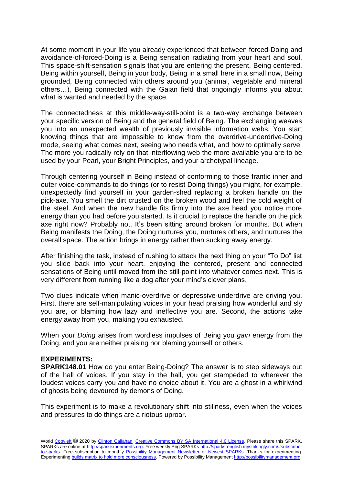At some moment in your life you already experienced that between forced-Doing and avoidance-of-forced-Doing is a Being sensation radiating from your heart and soul. This space-shift-sensation signals that you are entering the present, Being centered, Being within yourself, Being in your body, Being in a small here in a small now, Being grounded, Being connected with others around you (animal, vegetable and mineral others…), Being connected with the Gaian field that ongoingly informs you about what is wanted and needed by the space.

The connectedness at this middle-way-still-point is a two-way exchange between your specific version of Being and the general field of Being. The exchanging weaves you into an unexpected wealth of previously invisible information webs. You start knowing things that are impossible to know from the overdrive-underdrive-Doing mode, seeing what comes next, seeing who needs what, and how to optimally serve. The more you radically rely on that interflowing web the more available you are to be used by your Pearl, your Bright Principles, and your archetypal lineage.

Through centering yourself in Being instead of conforming to those frantic inner and outer voice-commands to do things (or to resist Doing things) you might, for example, unexpectedly find yourself in your garden-shed replacing a broken handle on the pick-axe. You smell the dirt crusted on the broken wood and feel the cold weight of the steel. And when the new handle fits firmly into the axe head you notice more energy than you had before you started. Is it crucial to replace the handle on the pick axe right now? Probably not. It's been sitting around broken for months. But when Being manifests the Doing, the Doing nurtures you, nurtures others, and nurtures the overall space. The action brings in energy rather than sucking away energy.

After finishing the task, instead of rushing to attack the next thing on your "To Do" list you slide back into your heart, enjoying the centered, present and connected sensations of Being until moved from the still-point into whatever comes next. This is very different from running like a dog after your mind's clever plans.

Two clues indicate when manic-overdrive or depressive-underdrive are driving you. First, there are self-manipulating voices in your head praising how wonderful and sly you are, or blaming how lazy and ineffective you are. Second, the actions take energy away from you, making you exhausted.

When your *Doing* arises from wordless impulses of Being you *gain* energy from the Doing, and you are neither praising nor blaming yourself or others.

## **EXPERIMENTS:**

**SPARK148.01** How do you enter Being-Doing? The answer is to step sideways out of the hall of voices. If you stay in the hall, you get stampeded to wherever the loudest voices carry you and have no choice about it. You are a ghost in a whirlwind of ghosts being devoured by demons of Doing.

This experiment is to make a revolutionary shift into stillness, even when the voices and pressures to do things are a riotous uproar.